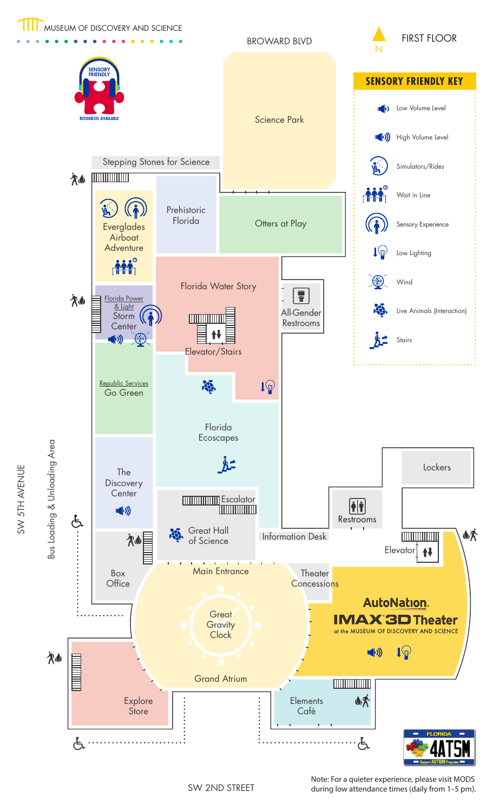

BROWARD BLVD





SW 2ND STREET

Note: For a quieter experience, please visit MODS during low attendance times (daily from 1–5 pm).